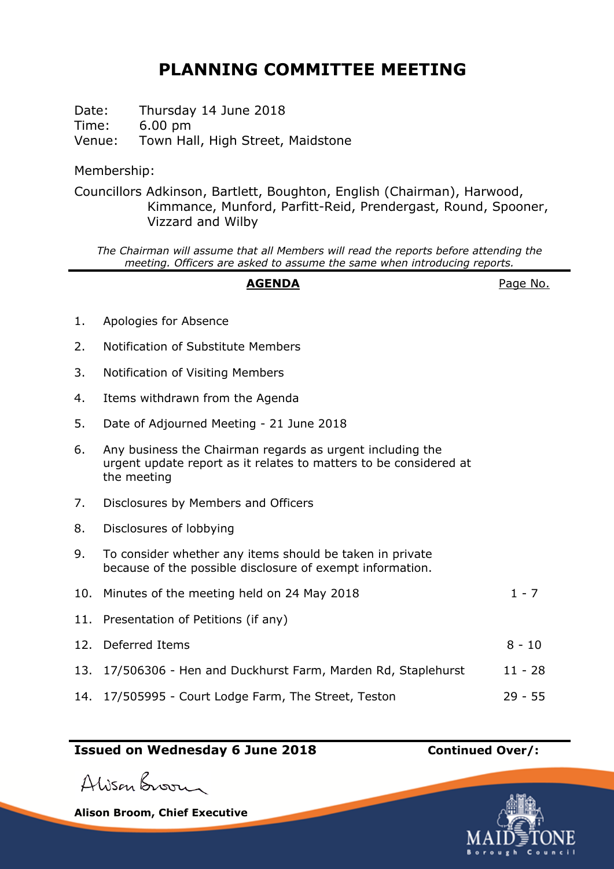# **PLANNING COMMITTEE MEETING**

Date: Thursday 14 June 2018 Time: 6.00 pm Venue: Town Hall, High Street, Maidstone

Membership:

Councillors Adkinson, Bartlett, Boughton, English (Chairman), Harwood, Kimmance, Munford, Parfitt-Reid, Prendergast, Round, Spooner, Vizzard and Wilby

*The Chairman will assume that all Members will read the reports before attending the meeting. Officers are asked to assume the same when introducing reports.*

## **AGENDA** Page No.

- 1. Apologies for Absence
- 2. Notification of Substitute Members
- 3. Notification of Visiting Members
- 4. Items withdrawn from the Agenda
- 5. Date of Adjourned Meeting 21 June 2018
- 6. Any business the Chairman regards as urgent including the urgent update report as it relates to matters to be considered at the meeting
- 7. Disclosures by Members and Officers
- 8. Disclosures of lobbying
- 9. To consider whether any items should be taken in private because of the possible disclosure of exempt information.
- 10. Minutes of the meeting held on 24 May 2018  $1 7$
- 11. Presentation of Petitions (if any)
- 12. Deferred Items 8 10 13. 17/506306 - Hen and Duckhurst Farm, Marden Rd, Staplehurst 11 - 28
- 14. 17/505995 Court Lodge Farm, The Street, Teston 29 55

## **Issued on Wednesday 6 June 2018 Continued Over/:**

Alison Broom

**Alison Broom, Chief Executive**